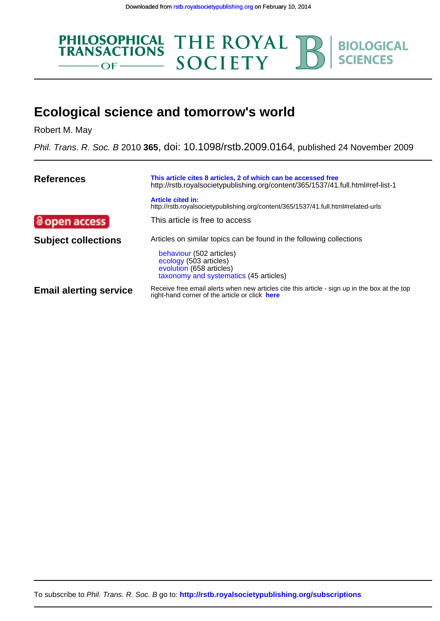

# **Ecological science and tomorrow's world**

Robert M. May

Phil. Trans. R. Soc. B 2010 **365**, doi: 10.1098/rstb.2009.0164, published 24 November 2009

| <b>References</b>             | This article cites 8 articles, 2 of which can be accessed free<br>http://rstb.royalsocietypublishing.org/content/365/1537/41.full.html#ref-list-1 |  |
|-------------------------------|---------------------------------------------------------------------------------------------------------------------------------------------------|--|
|                               | <b>Article cited in:</b><br>http://rstb.royalsocietypublishing.org/content/365/1537/41.full.html#related-urls                                     |  |
| @ open access                 | This article is free to access                                                                                                                    |  |
| <b>Subject collections</b>    | Articles on similar topics can be found in the following collections                                                                              |  |
|                               | behaviour (502 articles)<br>ecology (503 articles)<br>evolution (658 articles)<br>taxonomy and systematics (45 articles)                          |  |
| <b>Email alerting service</b> | Receive free email alerts when new articles cite this article - sign up in the box at the top<br>right-hand corner of the article or click here   |  |

To subscribe to Phil. Trans. R. Soc. B go to: **<http://rstb.royalsocietypublishing.org/subscriptions>**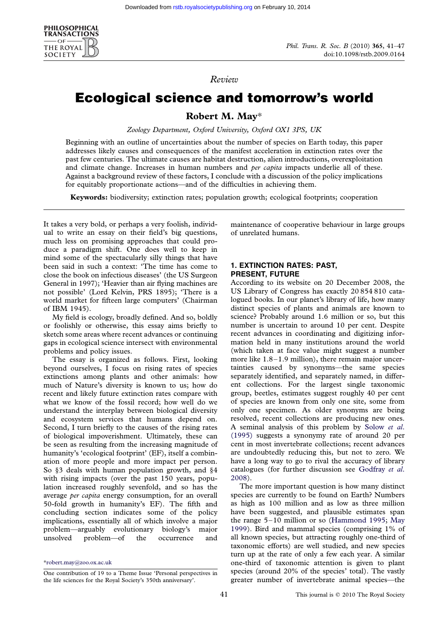

Review

# Ecological science and tomorrow's world

Robert M. May\*

Zoology Department, Oxford University, Oxford OX1 3PS, UK

Beginning with an outline of uncertainties about the number of species on Earth today, this paper addresses likely causes and consequences of the manifest acceleration in extinction rates over the past few centuries. The ultimate causes are habitat destruction, alien introductions, overexploitation and climate change. Increases in human numbers and *per capita* impacts underlie all of these. Against a background review of these factors, I conclude with a discussion of the policy implications for equitably proportionate actions—and of the difficulties in achieving them.

Keywords: biodiversity; extinction rates; population growth; ecological footprints; cooperation

It takes a very bold, or perhaps a very foolish, individual to write an essay on their field's big questions, much less on promising approaches that could produce a paradigm shift. One does well to keep in mind some of the spectacularly silly things that have been said in such a context: 'The time has come to close the book on infectious diseases' (the US Surgeon General in 1997); 'Heavier than air flying machines are not possible' (Lord Kelvin, PRS 1895); 'There is a world market for fifteen large computers' (Chairman of IBM 1945).

My field is ecology, broadly defined. And so, boldly or foolishly or otherwise, this essay aims briefly to sketch some areas where recent advances or continuing gaps in ecological science intersect with environmental problems and policy issues.

The essay is organized as follows. First, looking beyond ourselves, I focus on rising rates of species extinctions among plants and other animals: how much of Nature's diversity is known to us; how do recent and likely future extinction rates compare with what we know of the fossil record; how well do we understand the interplay between biological diversity and ecosystem services that humans depend on. Second, I turn briefly to the causes of the rising rates of biological impoverishment. Ultimately, these can be seen as resulting from the increasing magnitude of humanity's 'ecological footprint' (EF), itself a combination of more people and more impact per person. So §3 deals with human population growth, and §4 with rising impacts (over the past 150 years, population increased roughly sevenfold, and so has the average per capita energy consumption, for an overall 50-fold growth in humanity's EF). The fifth and concluding section indicates some of the policy implications, essentially all of which involve a major problem—arguably evolutionary biology's major unsolved problem—of the occurrence and

maintenance of cooperative behaviour in large groups of unrelated humans.

## 1. EXTINCTION RATES: PAST, PRESENT, FUTURE

According to its website on 20 December 2008, the US Library of Congress has exactly 20 854 810 catalogued books. In our planet's library of life, how many distinct species of plants and animals are known to science? Probably around 1.6 million or so, but this number is uncertain to around 10 per cent. Despite recent advances in coordinating and digitizing information held in many institutions around the world (which taken at face value might suggest a number more like  $1.8-1.9$  million), there remain major uncertainties caused by synonyms—the same species separately identified, and separately named, in different collections. For the largest single taxonomic group, beetles, estimates suggest roughly 40 per cent of species are known from only one site, some from only one specimen. As older synonyms are being resolved, recent collections are producing new ones. A seminal analysis of this problem by [Solow](#page-7-0) et al. [\(1995\)](#page-7-0) suggests a synonymy rate of around 20 per cent in most invertebrate collections; recent advances are undoubtedly reducing this, but not to zero. We have a long way to go to rival the accuracy of library catalogues (for further discussion see [Godfray](#page-7-0) et al. [2008](#page-7-0)).

The more important question is how many distinct species are currently to be found on Earth? Numbers as high as 100 million and as low as three million have been suggested, and plausible estimates span the range 5–10 million or so ([Hammond 1995;](#page-7-0) [May](#page-7-0) [1999](#page-7-0)). Bird and mammal species (comprising 1% of all known species, but attracting roughly one-third of taxonomic efforts) are well studied, and new species turn up at the rate of only a few each year. A similar one-third of taxonomic attention is given to plant species (around 20% of the species' total). The vastly greater number of invertebrate animal species—the

<sup>\*</sup>[robert.may@zoo.ox.ac.uk](mailto:robert.may@zoo.ox.ac.uk)

One contribution of 19 to a Theme Issue 'Personal perspectives in the life sciences for the Royal Society's 350th anniversary'.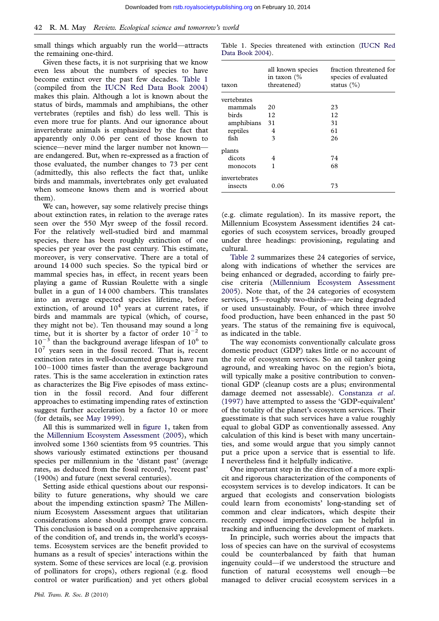small things which arguably run the world—attracts the remaining one-third.

Given these facts, it is not surprising that we know even less about the numbers of species to have become extinct over the past few decades. Table 1 (compiled from the [IUCN Red Data Book 2004](#page-7-0)) makes this plain. Although a lot is known about the status of birds, mammals and amphibians, the other vertebrates (reptiles and fish) do less well. This is even more true for plants. And our ignorance about invertebrate animals is emphasized by the fact that apparently only 0.06 per cent of those known to science—never mind the larger number not known are endangered. But, when re-expressed as a fraction of those evaluated, the number changes to 73 per cent (admittedly, this also reflects the fact that, unlike birds and mammals, invertebrates only get evaluated when someone knows them and is worried about them).

We can, however, say some relatively precise things about extinction rates, in relation to the average rates seen over the 550 Myr sweep of the fossil record. For the relatively well-studied bird and mammal species, there has been roughly extinction of one species per year over the past century. This estimate, moreover, is very conservative. There are a total of around 14 000 such species. So the typical bird or mammal species has, in effect, in recent years been playing a game of Russian Roulette with a single bullet in a gun of 14 000 chambers. This translates into an average expected species lifetime, before extinction, of around  $10<sup>4</sup>$  years at current rates, if birds and mammals are typical (which, of course, they might not be). Ten thousand may sound a long time, but it is shorter by a factor of order  $10^{-2}$  to  $10^{-3}$  than the background average lifespan of  $10^{6}$  to  $10<sup>7</sup>$  years seen in the fossil record. That is, recent extinction rates in well-documented groups have run 100–1000 times faster than the average background rates. This is the same acceleration in extinction rates as characterizes the Big Five episodes of mass extinction in the fossil record. And four different approaches to estimating impending rates of extinction suggest further acceleration by a factor 10 or more (for details, see [May 1999\)](#page-7-0).

All this is summarized well in [figure 1,](#page-3-0) taken from the [Millennium Ecosystem Assessment \(2005](#page-7-0)), which involved some 1360 scientists from 95 countries. This shows variously estimated extinctions per thousand species per millennium in the 'distant past' (average rates, as deduced from the fossil record), 'recent past' (1900s) and future (next several centuries).

Setting aside ethical questions about our responsibility to future generations, why should we care about the impending extinction spasm? The Millennium Ecosystem Assessment argues that utilitarian considerations alone should prompt grave concern. This conclusion is based on a comprehensive appraisal of the condition of, and trends in, the world's ecosystems. Ecosystem services are the benefit provided to humans as a result of species' interactions within the system. Some of these services are local (e.g. provision of pollinators for crops), others regional (e.g. flood control or water purification) and yet others global

Table 1. Species threatened with extinction ([IUCN Red](#page-7-0) [Data Book 2004](#page-7-0)).

| taxon         | all known species<br>in taxon $(\%$<br>threatened) | fraction threatened for<br>species of evaluated<br>status $(\%)$ |
|---------------|----------------------------------------------------|------------------------------------------------------------------|
| vertebrates   |                                                    |                                                                  |
| mammals       | 20                                                 | 23                                                               |
| <b>birds</b>  | 12                                                 | 12                                                               |
| amphibians    | 31                                                 | 31                                                               |
| reptiles      | 4                                                  | 61                                                               |
| fish          | 3                                                  | 26                                                               |
| plants        |                                                    |                                                                  |
| dicots        | 4                                                  | 74                                                               |
| monocots      |                                                    | 68                                                               |
| invertebrates |                                                    |                                                                  |
| insects       | 0.06                                               | 73                                                               |

(e.g. climate regulation). In its massive report, the Millennium Ecosystem Assessment identifies 24 categories of such ecosystem services, broadly grouped under three headings: provisioning, regulating and cultural.

[Table 2](#page-4-0) summarizes these 24 categories of service, along with indications of whether the services are being enhanced or degraded, according to fairly precise criteria ([Millennium Ecosystem Assessment](#page-7-0) [2005](#page-7-0)). Note that, of the 24 categories of ecosystem services, 15—roughly two-thirds—are being degraded or used unsustainably. Four, of which three involve food production, have been enhanced in the past 50 years. The status of the remaining five is equivocal, as indicated in the table.

The way economists conventionally calculate gross domestic product (GDP) takes little or no account of the role of ecosystem services. So an oil tanker going aground, and wreaking havoc on the region's biota, will typically make a positive contribution to conventional GDP (cleanup costs are a plus; environmental damage deemed not assessable). [Constanza](#page-7-0) et al. [\(1997\)](#page-7-0) have attempted to assess the 'GDP-equivalent' of the totality of the planet's ecosystem services. Their guesstimate is that such services have a value roughly equal to global GDP as conventionally assessed. Any calculation of this kind is beset with many uncertainties, and some would argue that you simply cannot put a price upon a service that is essential to life. I nevertheless find it helpfully indicative.

One important step in the direction of a more explicit and rigorous characterization of the components of ecosystem services is to develop indicators. It can be argued that ecologists and conservation biologists could learn from economists' long-standing set of common and clear indicators, which despite their recently exposed imperfections can be helpful in tracking and influencing the development of markets.

In principle, such worries about the impacts that loss of species can have on the survival of ecosystems could be counterbalanced by faith that human ingenuity could—if we understood the structure and function of natural ecosystems well enough—be managed to deliver crucial ecosystem services in a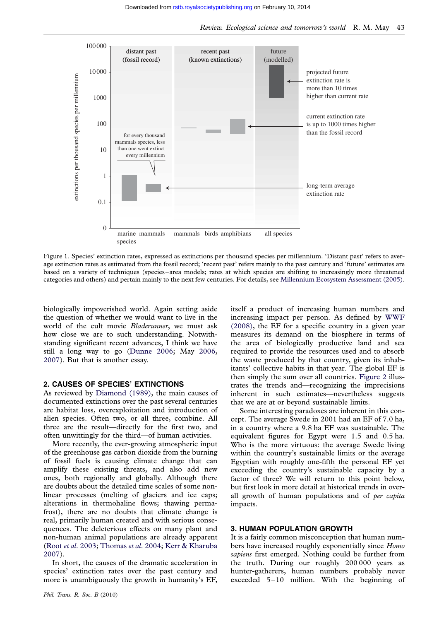<span id="page-3-0"></span>

Figure 1. Species' extinction rates, expressed as extinctions per thousand species per millennium. 'Distant past' refers to average extinction rates as estimated from the fossil record; 'recent past' refers mainly to the past century and 'future' estimates are based on a variety of techniques (species–area models; rates at which species are shifting to increasingly more threatened categories and others) and pertain mainly to the next few centuries. For details, see [Millennium Ecosystem Assessment \(2005\)](#page-7-0).

biologically impoverished world. Again setting aside the question of whether we would want to live in the world of the cult movie Bladerunner, we must ask how close we are to such understanding. Notwithstanding significant recent advances, I think we have still a long way to go ([Dunne 2006;](#page-7-0) May [2006](#page-7-0), [2007](#page-7-0)). But that is another essay.

#### 2. CAUSES OF SPECIES' EXTINCTIONS

As reviewed by [Diamond \(1989\)](#page-7-0), the main causes of documented extinctions over the past several centuries are habitat loss, overexploitation and introduction of alien species. Often two, or all three, combine. All three are the result—directly for the first two, and often unwittingly for the third—of human activities.

More recently, the ever-growing atmospheric input of the greenhouse gas carbon dioxide from the burning of fossil fuels is causing climate change that can amplify these existing threats, and also add new ones, both regionally and globally. Although there are doubts about the detailed time scales of some nonlinear processes (melting of glaciers and ice caps; alterations in thermohaline flows; thawing permafrost), there are no doubts that climate change is real, primarily human created and with serious consequences. The deleterious effects on many plant and non-human animal populations are already apparent (Root et al[. 2003;](#page-7-0) [Thomas](#page-7-0) et al. 2004; [Kerr & Kharuba](#page-7-0) [2007](#page-7-0)).

In short, the causes of the dramatic acceleration in species' extinction rates over the past century and more is unambiguously the growth in humanity's EF,

itself a product of increasing human numbers and increasing impact per person. As defined by [WWF](#page-7-0) [\(2008\),](#page-7-0) the EF for a specific country in a given year measures its demand on the biosphere in terms of the area of biologically productive land and sea required to provide the resources used and to absorb the waste produced by that country, given its inhabitants' collective habits in that year. The global EF is then simply the sum over all countries. [Figure 2](#page-4-0) illustrates the trends and—recognizing the imprecisions inherent in such estimates—nevertheless suggests that we are at or beyond sustainable limits.

Some interesting paradoxes are inherent in this concept. The average Swede in 2001 had an EF of 7.0 ha, in a country where a 9.8 ha EF was sustainable. The equivalent figures for Egypt were 1.5 and 0.5 ha. Who is the more virtuous: the average Swede living within the country's sustainable limits or the average Egyptian with roughly one-fifth the personal EF yet exceeding the country's sustainable capacity by a factor of three? We will return to this point below, but first look in more detail at historical trends in overall growth of human populations and of per capita impacts.

#### 3. HUMAN POPULATION GROWTH

It is a fairly common misconception that human numbers have increased roughly exponentially since Homo sapiens first emerged. Nothing could be further from the truth. During our roughly 200 000 years as hunter-gatherers, human numbers probably never exceeded 5–10 million. With the beginning of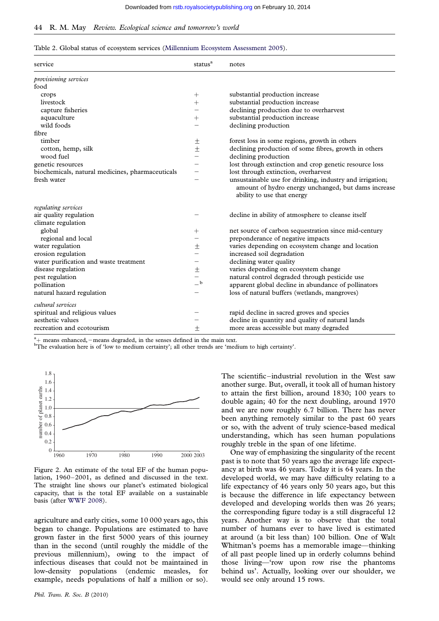<span id="page-4-0"></span>

| service                                          | status <sup>a</sup>      | notes                                                                                                                                         |
|--------------------------------------------------|--------------------------|-----------------------------------------------------------------------------------------------------------------------------------------------|
| provisioning services                            |                          |                                                                                                                                               |
| food                                             |                          |                                                                                                                                               |
| crops                                            | $^{+}$                   | substantial production increase                                                                                                               |
| livestock                                        | $^{+}$                   | substantial production increase                                                                                                               |
| capture fisheries                                | $\overline{\phantom{0}}$ | declining production due to overharvest                                                                                                       |
| aquaculture                                      | $^{+}$                   | substantial production increase                                                                                                               |
| wild foods                                       |                          | declining production                                                                                                                          |
| fibre                                            |                          |                                                                                                                                               |
| timber                                           | 土                        | forest loss in some regions, growth in others                                                                                                 |
| cotton, hemp, silk                               | $\pm$                    | declining production of some fibres, growth in others                                                                                         |
| wood fuel                                        | $\overline{\phantom{0}}$ | declining production                                                                                                                          |
| genetic resources                                |                          | lost through extinction and crop genetic resource loss                                                                                        |
| biochemicals, natural medicines, pharmaceuticals |                          | lost through extinction, overharvest                                                                                                          |
| fresh water                                      |                          | unsustainable use for drinking, industry and irrigation;<br>amount of hydro energy unchanged, but dams increase<br>ability to use that energy |
| regulating services                              |                          |                                                                                                                                               |
| air quality regulation                           |                          | decline in ability of atmosphere to cleanse itself                                                                                            |
| climate regulation                               |                          |                                                                                                                                               |
| global                                           | $^{+}$                   | net source of carbon sequestration since mid-century                                                                                          |
| regional and local                               |                          | preponderance of negative impacts                                                                                                             |
| water regulation                                 | $\pm$                    | varies depending on ecosystem change and location                                                                                             |
| erosion regulation                               |                          | increased soil degradation                                                                                                                    |
| water purification and waste treatment           | —                        | declining water quality                                                                                                                       |
| disease regulation                               | 土                        | varies depending on ecosystem change                                                                                                          |
| pest regulation                                  |                          | natural control degraded through pesticide use                                                                                                |
| pollination                                      | $-b$                     | apparent global decline in abundance of pollinators                                                                                           |
| natural hazard regulation                        |                          | loss of natural buffers (wetlands, mangroves)                                                                                                 |
| cultural services                                |                          |                                                                                                                                               |
| spiritual and religious values                   |                          | rapid decline in sacred groves and species                                                                                                    |
| aesthetic values                                 |                          | decline in quantity and quality of natural lands                                                                                              |
| recreation and ecotourism                        | 士                        | more areas accessible but many degraded                                                                                                       |

<sup>a</sup>  $+$  means enhanced, – means degraded, in the senses defined in the main text.

<sup>b</sup>The evaluation here is of 'low to medium certainty'; all other trends are 'medium to high certainty'.



Figure 2. An estimate of the total EF of the human population, 1960–2001, as defined and discussed in the text. The straight line shows our planet's estimated biological capacity, that is the total EF available on a sustainable basis (after [WWF 2008](#page-7-0)).

agriculture and early cities, some 10 000 years ago, this began to change. Populations are estimated to have grown faster in the first 5000 years of this journey than in the second (until roughly the middle of the previous millennium), owing to the impact of infectious diseases that could not be maintained in low-density populations (endemic measles, for example, needs populations of half a million or so).

The scientific–industrial revolution in the West saw another surge. But, overall, it took all of human history to attain the first billion, around 1830; 100 years to double again; 40 for the next doubling, around 1970 and we are now roughly 6.7 billion. There has never been anything remotely similar to the past 60 years or so, with the advent of truly science-based medical understanding, which has seen human populations roughly treble in the span of one lifetime.

One way of emphasizing the singularity of the recent past is to note that 50 years ago the average life expectancy at birth was 46 years. Today it is 64 years. In the developed world, we may have difficulty relating to a life expectancy of 46 years only 50 years ago, but this is because the difference in life expectancy between developed and developing worlds then was 26 years; the corresponding figure today is a still disgraceful 12 years. Another way is to observe that the total number of humans ever to have lived is estimated at around (a bit less than) 100 billion. One of Walt Whitman's poems has a memorable image—thinking of all past people lined up in orderly columns behind those living—'row upon row rise the phantoms behind us'. Actually, looking over our shoulder, we would see only around 15 rows.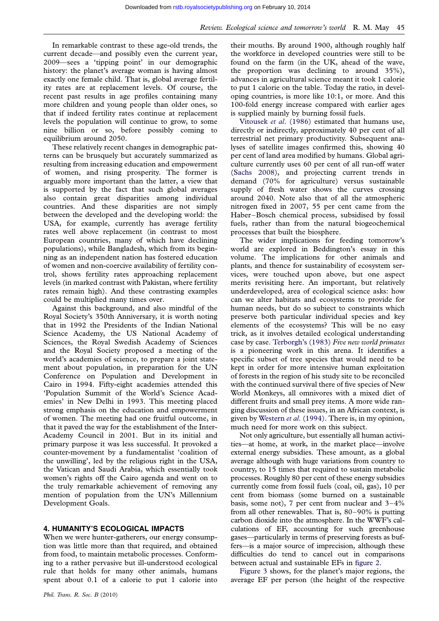In remarkable contrast to these age-old trends, the current decade—and possibly even the current year, 2009—sees a 'tipping point' in our demographic history: the planet's average woman is having almost exactly one female child. That is, global average fertility rates are at replacement levels. Of course, the recent past results in age profiles containing many more children and young people than older ones, so that if indeed fertility rates continue at replacement levels the population will continue to grow, to some nine billion or so, before possibly coming to equilibrium around 2050.

These relatively recent changes in demographic patterns can be brusquely but accurately summarized as resulting from increasing education and empowerment of women, and rising prosperity. The former is arguably more important than the latter, a view that is supported by the fact that such global averages also contain great disparities among individual countries. And these disparities are not simply between the developed and the developing world: the USA, for example, currently has average fertility rates well above replacement (in contrast to most European countries, many of which have declining populations), while Bangladesh, which from its beginning as an independent nation has fostered education of women and non-coercive availability of fertility control, shows fertility rates approaching replacement levels (in marked contrast with Pakistan, where fertility rates remain high). And these contrasting examples could be multiplied many times over.

Against this background, and also mindful of the Royal Society's 350th Anniversary, it is worth noting that in 1992 the Presidents of the Indian National Science Academy, the US National Academy of Sciences, the Royal Swedish Academy of Sciences and the Royal Society proposed a meeting of the world's academies of science, to prepare a joint statement about population, in preparation for the UN Conference on Population and Development in Cairo in 1994. Fifty-eight academies attended this 'Population Summit of the World's Science Academies' in New Delhi in 1993. This meeting placed strong emphasis on the education and empowerment of women. The meeting had one fruitful outcome, in that it paved the way for the establishment of the Inter-Academy Council in 2001. But in its initial and primary purpose it was less successful. It provoked a counter-movement by a fundamentalist 'coalition of the unwilling', led by the religious right in the USA, the Vatican and Saudi Arabia, which essentially took women's rights off the Cairo agenda and went on to the truly remarkable achievement of removing any mention of population from the UN's Millennium Development Goals.

### 4. HUMANITY'S ECOLOGICAL IMPACTS

When we were hunter-gatherers, our energy consumption was little more than that required, and obtained from food, to maintain metabolic processes. Conforming to a rather pervasive but ill-understood ecological rule that holds for many other animals, humans spent about 0.1 of a calorie to put 1 calorie into

their mouths. By around 1900, although roughly half the workforce in developed countries were still to be found on the farm (in the UK, ahead of the wave, the proportion was declining to around 35%), advances in agricultural science meant it took 1 calorie to put 1 calorie on the table. Today the ratio, in developing countries, is more like 10:1, or more. And this 100-fold energy increase compared with earlier ages is supplied mainly by burning fossil fuels.

[Vitousek](#page-7-0) et al. (1986) estimated that humans use, directly or indirectly, approximately 40 per cent of all terrestrial net primary productivity. Subsequent analyses of satellite images confirmed this, showing 40 per cent of land area modified by humans. Global agriculture currently uses 60 per cent of all run-off water ([Sachs 2008](#page-7-0)), and projecting current trends in demand (70% for agriculture) versus sustainable supply of fresh water shows the curves crossing around 2040. Note also that of all the atmospheric nitrogen fixed in 2007, 55 per cent came from the Haber–Bosch chemical process, subsidised by fossil fuels, rather than from the natural biogeochemical processes that built the biosphere.

The wider implications for feeding tomorrow's world are explored in Beddington's essay in this volume. The implications for other animals and plants, and thence for sustainability of ecosystem services, were touched upon above, but one aspect merits revisiting here. An important, but relatively underdeveloped, area of ecological science asks: how can we alter habitats and ecosystems to provide for human needs, but do so subject to constraints which preserve both particular individual species and key elements of the ecosystems? This will be no easy trick, as it involves detailed ecological understanding case by case. [Terborgh's \(1983\)](#page-7-0) Five new world primates is a pioneering work in this arena. It identifies a specific subset of tree species that would need to be kept in order for more intensive human exploitation of forests in the region of his study site to be reconciled with the continued survival there of five species of New World Monkeys, all omnivores with a mixed diet of different fruits and small prey items. A more wide ranging discussion of these issues, in an African context, is given by [Western](#page-7-0) et al. (1994). There is, in my opinion, much need for more work on this subject.

Not only agriculture, but essentially all human activities—at home, at work, in the market place—involve external energy subsidies. These amount, as a global average although with huge variations from country to country, to 15 times that required to sustain metabolic processes. Roughly 80 per cent of these energy subsidies currently come from fossil fuels (coal, oil, gas), 10 per cent from biomass (some burned on a sustainable basis, some not), 7 per cent from nuclear and 3–4% from all other renewables. That is, 80–90% is putting carbon dioxide into the atmosphere. In the WWF's calculations of EF, accounting for such greenhouse gases—particularly in terms of preserving forests as buffers—is a major source of imprecision, although these difficulties do tend to cancel out in comparisons between actual and sustainable EFs in [figure 2.](#page-4-0)

[Figure 3](#page-6-0) shows, for the planet's major regions, the average EF per person (the height of the respective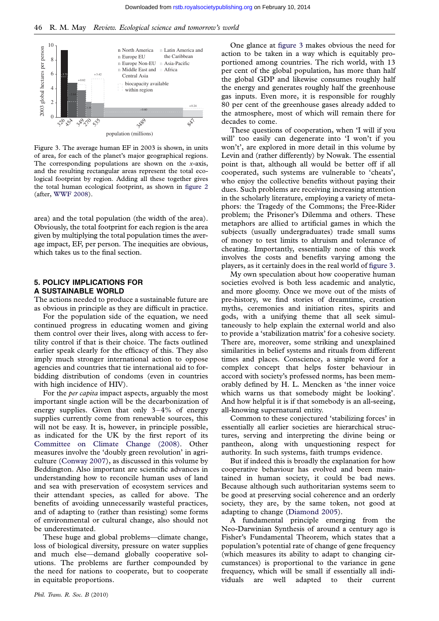<span id="page-6-0"></span>



Figure 3. The average human EF in 2003 is shown, in units of area, for each of the planet's major geographical regions. The corresponding populations are shown on the  $x$ -axis, and the resulting rectangular areas represent the total ecological footprint by region. Adding all these together gives the total human ecological footprint, as shown in [figure 2](#page-4-0) (after, [WWF 2008\)](#page-7-0).

area) and the total population (the width of the area). Obviously, the total footprint for each region is the area given by multiplying the total population times the average impact, EF, per person. The inequities are obvious, which takes us to the final section.

#### 5. POLICY IMPLICATIONS FOR A SUSTAINABLE WORLD

The actions needed to produce a sustainable future are as obvious in principle as they are difficult in practice.

For the population side of the equation, we need continued progress in educating women and giving them control over their lives, along with access to fertility control if that is their choice. The facts outlined earlier speak clearly for the efficacy of this. They also imply much stronger international action to oppose agencies and countries that tie international aid to forbidding distribution of condoms (even in countries with high incidence of HIV).

For the per capita impact aspects, arguably the most important single action will be the decarbonization of energy supplies. Given that only 3–4% of energy supplies currently come from renewable sources, this will not be easy. It is, however, in principle possible, as indicated for the UK by the first report of its [Committee on Climate Change \(2008\)](#page-7-0). Other measures involve the 'doubly green revolution' in agriculture [\(Conway 2007](#page-7-0)), as discussed in this volume by Beddington. Also important are scientific advances in understanding how to reconcile human uses of land and sea with preservation of ecosystem services and their attendant species, as called for above. The benefits of avoiding unnecessarily wasteful practices, and of adapting to (rather than resisting) some forms of environmental or cultural change, also should not be underestimated.

These huge and global problems—climate change, loss of biological diversity, pressure on water supplies and much else—demand globally cooperative solutions. The problems are further compounded by the need for nations to cooperate, but to cooperate in equitable proportions.

One glance at figure 3 makes obvious the need for action to be taken in a way which is equitably proportioned among countries. The rich world, with 13 per cent of the global population, has more than half the global GDP and likewise consumes roughly half the energy and generates roughly half the greenhouse gas inputs. Even more, it is responsible for roughly 80 per cent of the greenhouse gases already added to the atmosphere, most of which will remain there for decades to come.

These questions of cooperation, when 'I will if you will' too easily can degenerate into 'I won't if you won't', are explored in more detail in this volume by Levin and (rather differently) by Nowak. The essential point is that, although all would be better off if all cooperated, such systems are vulnerable to 'cheats', who enjoy the collective benefits without paying their dues. Such problems are receiving increasing attention in the scholarly literature, employing a variety of metaphors: the Tragedy of the Commons; the Free-Rider problem; the Prisoner's Dilemma and others. These metaphors are allied to artificial games in which the subjects (usually undergraduates) trade small sums of money to test limits to altruism and tolerance of cheating. Importantly, essentially none of this work involves the costs and benefits varying among the players, as it certainly does in the real world of figure 3.

My own speculation about how cooperative human societies evolved is both less academic and analytic, and more gloomy. Once we move out of the mists of pre-history, we find stories of dreamtime, creation myths, ceremonies and initiation rites, spirits and gods, with a unifying theme that all seek simultaneously to help explain the external world and also to provide a 'stabilization matrix' for a cohesive society. There are, moreover, some striking and unexplained similarities in belief systems and rituals from different times and places. Conscience, a simple word for a complex concept that helps foster behaviour in accord with society's professed norms, has been memorably defined by H. L. Mencken as 'the inner voice which warns us that somebody might be looking'. And how helpful it is if that somebody is an all-seeing, all-knowing supernatural entity.

Common to these conjectured 'stabilizing forces' in essentially all earlier societies are hierarchical structures, serving and interpreting the divine being or pantheon, along with unquestioning respect for authority. In such systems, faith trumps evidence.

But if indeed this is broadly the explanation for how cooperative behaviour has evolved and been maintained in human society, it could be bad news. Because although such authoritarian systems seem to be good at preserving social coherence and an orderly society, they are, by the same token, not good at adapting to change [\(Diamond 2005](#page-7-0)).

A fundamental principle emerging from the Neo-Darwinian Synthesis of around a century ago is Fisher's Fundamental Theorem, which states that a population's potential rate of change of gene frequency (which measures its ability to adapt to changing circumstances) is proportional to the variance in gene frequency, which will be small if essentially all individuals are well adapted to their current